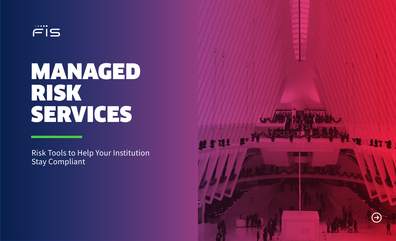

# MANAGED RISK SERVICES

Risk Tools to Help Your Institution Stay Compliant

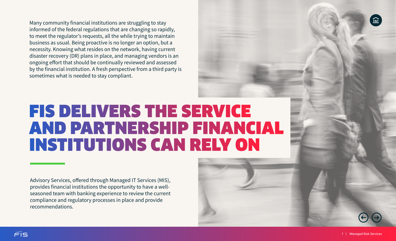Many community financial institutions are struggling to stay informed of the federal regulations that are changing so rapidly, to meet the regulator's requests, all the while trying to maintain business as usual. Being proactive is no longer an option, but a necessity. Knowing what resides on the network, having current disaster recovery (DR) plans in place, and managing vendors is an ongoing effort that should be continually reviewed and assessed by the financial institution. A fresh perspective from a third party is sometimes what is needed to stay compliant.

### **FIS DELIVERS THE SERVICE** AND PARTNERSHIP FINANCIAL **INSTITUTIONS CAN RELY ON**

Advisory Services, offered through Managed IT Services (MIS), provides financial institutions the opportunity to have a wellseasoned team with banking experience to review the current compliance and regulatory processes in place and provide recommendations.

 $riS$ 

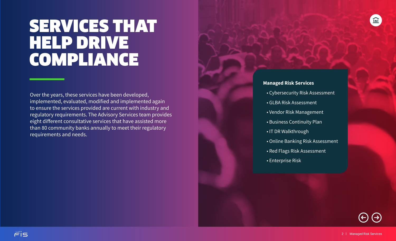### SERVICES THAT HELP DRIVE COMPLIANCE

Over the years, these services have been developed, implemented, evaluated, modified and implemented again to ensure the services provided are current with industry and regulatory requirements. The Advisory Services team provides eight different consultative services that have assisted more than 80 community banks annually to meet their regulatory requirements and needs.

 $(\div)$ 

#### **Managed Risk Services**

- Cybersecurity Risk Assessment
- GLBA Risk Assessment
- Vendor Risk Management
- Business Continuity Plan
- IT DR Walkthrough
- Online Banking Risk Assessment
- Red Flags Risk Assessment
- Enterprise Risk

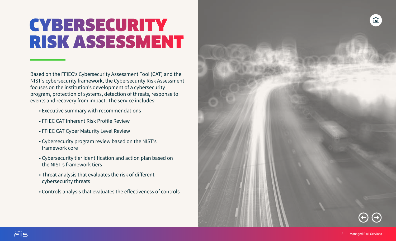# CYBERSECURITY **RISK ASSESSMENT**

Based on the FFIEC's Cybersecurity Assessment Tool (CAT) and the NIST's cybersecurity framework, the Cybersecurity Risk Assessment focuses on the institution's development of a cybersecurity program, protection of systems, detection of threats, response to events and recovery from impact. The service includes:

- Executive summary with recommendations
- FFIEC CAT Inherent Risk Profile Review
- FFIEC CAT Cyber Maturity Level Review
- Cybersecurity program review based on the NIST's framework core
- Cybersecurity tier identification and action plan based on the NIST's framework tiers
- Threat analysis that evaluates the risk of different cybersecurity threats
- Controls analysis that evaluates the effectiveness of controls

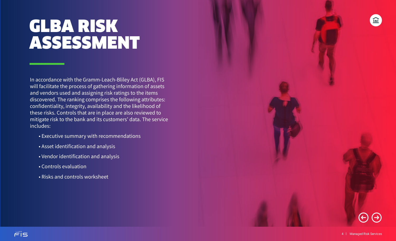# GLBA RISK ASSESSMENT

In accordance with the Gramm-Leach-Bliley Act (GLBA), FIS will facilitate the process of gathering information of assets and vendors used and assigning risk ratings to the items discovered. The ranking comprises the following attributes: confidentiality, integrity, availability and the likelihood of these risks. Controls that are in place are also reviewed to mitigate risk to the bank and its customers' data. The service includes:

- Executive summary with recommendations
- Asset identification and analysis
- Vendor identification and analysis
- Controls evaluation
- Risks and controls worksheet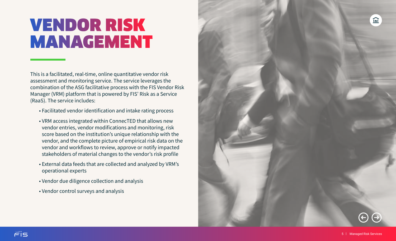# **VENDOR RISK MANAGEMENT**

This is a facilitated, real-time, online quantitative vendor risk assessment and monitoring service. The service leverages the combination of the ASG facilitative process with the FIS Vendor Risk Manager (VRM) platform that is powered by FIS' Risk as a Service (RaaS). The service includes:

- Facilitated vendor identification and intake rating process
- VRM access integrated within ConnecTED that allows new vendor entries, vendor modifications and monitoring, risk score based on the institution's unique relationship with the vendor, and the complete picture of empirical risk data on the vendor and workflows to review, approve or notify impacted stakeholders of material changes to the vendor's risk profile
- External data feeds that are collected and analyzed by VRM's operational experts
- Vendor due diligence collection and analysis
- Vendor control surveys and analysis

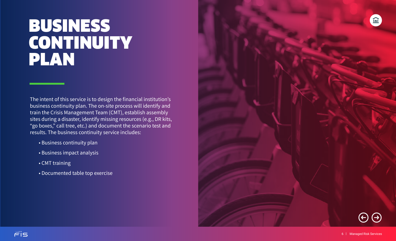#### BUSINESS **CONTINUITY** PLAN

The intent of this service is to design the financial institution's business continuity plan. The on-site process will identify and train the Crisis Management Team (CMT), establish assembly sites during a disaster, identify missing resources (e.g., DR kits, "go boxes," call tree, etc.) and document the scenario test and results. The business continuity service includes:

- Business continuity plan
- Business impact analysis
- CMT training
- Documented table top exercise

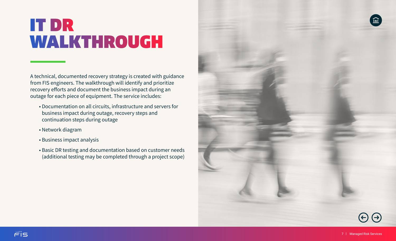# **IT DR** WALKTHROUGH

A technical, documented recovery strategy is created with guidance from FIS engineers. The walkthrough will identify and prioritize recovery efforts and document the business impact during an outage for each piece of equipment. The service includes:

- Documentation on all circuits, infrastructure and servers for business impact during outage, recovery steps and continuation steps during outage
- Network diagram
- Business impact analysis
- Basic DR testing and documentation based on customer needs (additional testing may be completed through a project scope)

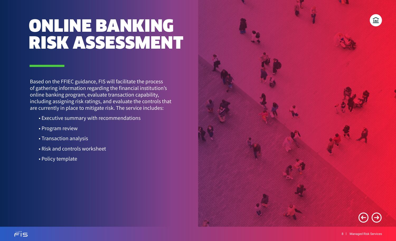# ONLINE BANKING RISK ASSESSMENT

Based on the FFIEC guidance, FIS will facilitate the process of gathering information regarding the financial institution's online banking program, evaluate transaction capability, including assigning risk ratings, and evaluate the controls that are currently in place to mitigate risk. The service includes:

- Executive summary with recommendations
- Program review
- Transaction analysis
- Risk and controls worksheet
- Policy template

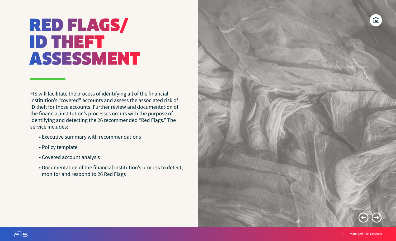### **RED FLAGS/ ID THEFT ASSESSMENT**

FIS will facilitate the process of identifying all of the financial institution's "covered" accounts and assess the associated risk of ID theft for those accounts. Further review and documentation of the financial institution's processes occurs with the purpose of identifying and detecting the 26 recommended "Red Flags." The service includes:

- Executive summary with recommendations
- Policy template
- Covered account analysis
- Documentation of the financial institution's process to detect, monitor and respond to 26 Red Flags

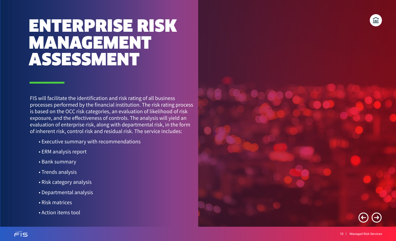#### ENTERPRISE RISK MANAGEMENT ASSESSMENT

FIS will facilitate the identification and risk rating of all business processes performed by the financial institution. The risk rating process is based on the OCC risk categories, an evaluation of likelihood of risk exposure, and the effectiveness of controls. The analysis will yield an evaluation of enterprise risk, along with departmental risk, in the form of inherent risk, control risk and residual risk. The service includes:

- Executive summary with recommendations
- ERM analysis report
- Bank summary
- Trends analysis
- Risk category analysis
- Departmental analysis
- Risk matrices
- Action items tool